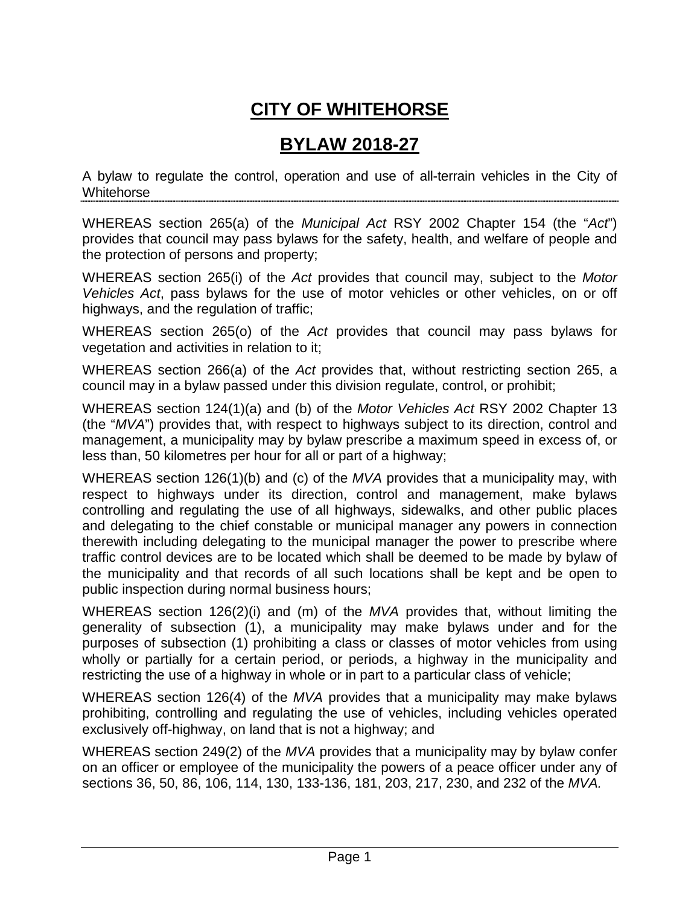## **CITY OF WHITEHORSE**

### **BYLAW 2018-27**

A bylaw to regulate the control, operation and use of all-terrain vehicles in the City of **Whitehorse** 

WHEREAS section 265(a) of the *Municipal Act* RSY 2002 Chapter 154 (the "*Act*") provides that council may pass bylaws for the safety, health, and welfare of people and the protection of persons and property;

WHEREAS section 265(i) of the *Act* provides that council may, subject to the *Motor Vehicles Act*, pass bylaws for the use of motor vehicles or other vehicles, on or off highways, and the regulation of traffic;

WHEREAS section 265(o) of the *Act* provides that council may pass bylaws for vegetation and activities in relation to it;

WHEREAS section 266(a) of the *Act* provides that, without restricting section 265, a council may in a bylaw passed under this division regulate, control, or prohibit;

WHEREAS section 124(1)(a) and (b) of the *Motor Vehicles Act* RSY 2002 Chapter 13 (the "*MVA*") provides that, with respect to highways subject to its direction, control and management, a municipality may by bylaw prescribe a maximum speed in excess of, or less than, 50 kilometres per hour for all or part of a highway;

WHEREAS section 126(1)(b) and (c) of the *MVA* provides that a municipality may, with respect to highways under its direction, control and management, make bylaws controlling and regulating the use of all highways, sidewalks, and other public places and delegating to the chief constable or municipal manager any powers in connection therewith including delegating to the municipal manager the power to prescribe where traffic control devices are to be located which shall be deemed to be made by bylaw of the municipality and that records of all such locations shall be kept and be open to public inspection during normal business hours;

WHEREAS section 126(2)(i) and (m) of the *MVA* provides that, without limiting the generality of subsection (1), a municipality may make bylaws under and for the purposes of subsection (1) prohibiting a class or classes of motor vehicles from using wholly or partially for a certain period, or periods, a highway in the municipality and restricting the use of a highway in whole or in part to a particular class of vehicle;

WHEREAS section 126(4) of the *MVA* provides that a municipality may make bylaws prohibiting, controlling and regulating the use of vehicles, including vehicles operated exclusively off-highway, on land that is not a highway; and

WHEREAS section 249(2) of the *MVA* provides that a municipality may by bylaw confer on an officer or employee of the municipality the powers of a peace officer under any of sections 36, 50, 86, 106, 114, 130, 133-136, 181, 203, 217, 230, and 232 of the *MVA.*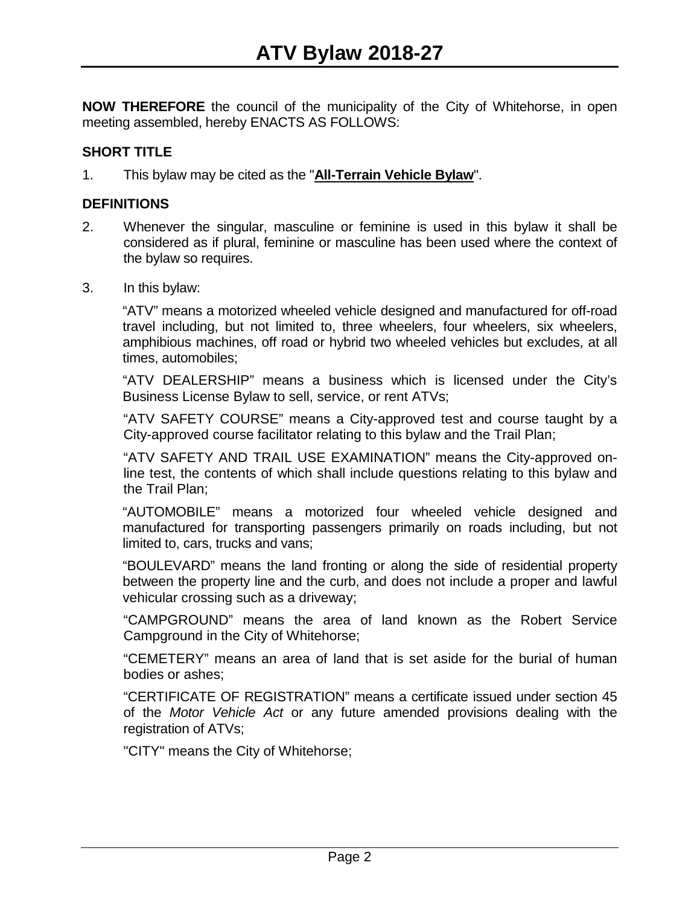**NOW THEREFORE** the council of the municipality of the City of Whitehorse, in open meeting assembled, hereby ENACTS AS FOLLOWS:

#### **SHORT TITLE**

1. This bylaw may be cited as the "**All-Terrain Vehicle Bylaw**".

#### **DEFINITIONS**

- 2. Whenever the singular, masculine or feminine is used in this bylaw it shall be considered as if plural, feminine or masculine has been used where the context of the bylaw so requires.
- 3. In this bylaw:

"ATV" means a motorized wheeled vehicle designed and manufactured for off-road travel including, but not limited to, three wheelers, four wheelers, six wheelers, amphibious machines, off road or hybrid two wheeled vehicles but excludes, at all times, automobiles;

"ATV DEALERSHIP" means a business which is licensed under the City's Business License Bylaw to sell, service, or rent ATVs;

"ATV SAFETY COURSE" means a City-approved test and course taught by a City-approved course facilitator relating to this bylaw and the Trail Plan;

"ATV SAFETY AND TRAIL USE EXAMINATION" means the City-approved online test, the contents of which shall include questions relating to this bylaw and the Trail Plan;

"AUTOMOBILE" means a motorized four wheeled vehicle designed and manufactured for transporting passengers primarily on roads including, but not limited to, cars, trucks and vans;

"BOULEVARD" means the land fronting or along the side of residential property between the property line and the curb, and does not include a proper and lawful vehicular crossing such as a driveway;

"CAMPGROUND" means the area of land known as the Robert Service Campground in the City of Whitehorse;

"CEMETERY" means an area of land that is set aside for the burial of human bodies or ashes;

"CERTIFICATE OF REGISTRATION" means a certificate issued under section 45 of the *Motor Vehicle Act* or any future amended provisions dealing with the registration of ATVs;

"CITY" means the City of Whitehorse;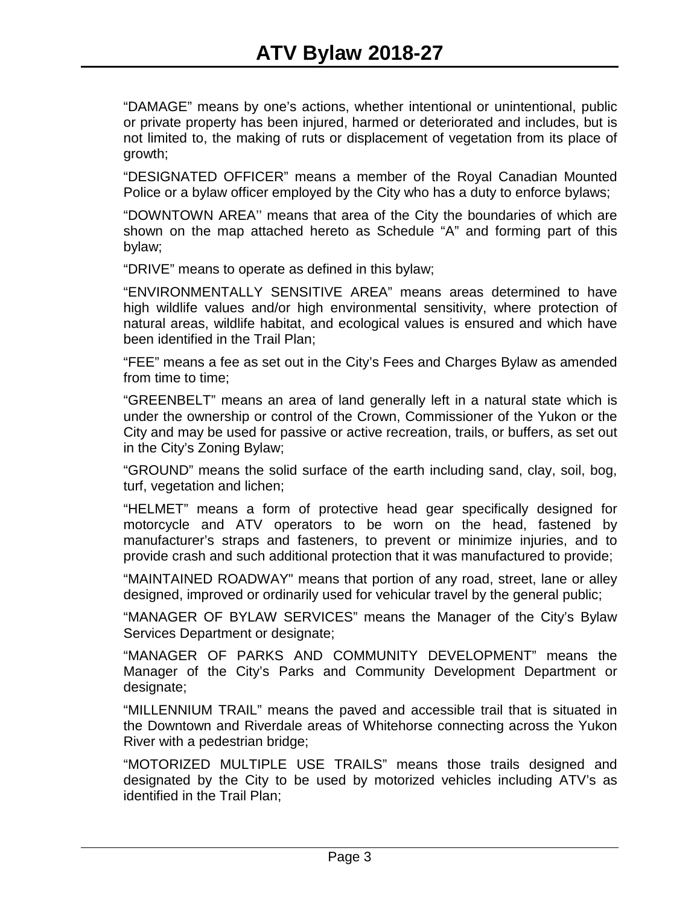"DAMAGE" means by one's actions, whether intentional or unintentional, public or private property has been injured, harmed or deteriorated and includes, but is not limited to, the making of ruts or displacement of vegetation from its place of growth;

"DESIGNATED OFFICER" means a member of the Royal Canadian Mounted Police or a bylaw officer employed by the City who has a duty to enforce bylaws;

"DOWNTOWN AREA'' means that area of the City the boundaries of which are shown on the map attached hereto as Schedule "A" and forming part of this bylaw;

"DRIVE" means to operate as defined in this bylaw;

"ENVIRONMENTALLY SENSITIVE AREA" means areas determined to have high wildlife values and/or high environmental sensitivity, where protection of natural areas, wildlife habitat, and ecological values is ensured and which have been identified in the Trail Plan;

"FEE" means a fee as set out in the City's Fees and Charges Bylaw as amended from time to time;

"GREENBELT" means an area of land generally left in a natural state which is under the ownership or control of the Crown, Commissioner of the Yukon or the City and may be used for passive or active recreation, trails, or buffers, as set out in the City's Zoning Bylaw;

"GROUND" means the solid surface of the earth including sand, clay, soil, bog, turf, vegetation and lichen;

"HELMET" means a form of protective head gear specifically designed for motorcycle and ATV operators to be worn on the head, fastened by manufacturer's straps and fasteners, to prevent or minimize injuries, and to provide crash and such additional protection that it was manufactured to provide;

"MAINTAINED ROADWAY" means that portion of any road, street, lane or alley designed, improved or ordinarily used for vehicular travel by the general public;

"MANAGER OF BYLAW SERVICES" means the Manager of the City's Bylaw Services Department or designate;

"MANAGER OF PARKS AND COMMUNITY DEVELOPMENT" means the Manager of the City's Parks and Community Development Department or designate;

"MILLENNIUM TRAIL" means the paved and accessible trail that is situated in the Downtown and Riverdale areas of Whitehorse connecting across the Yukon River with a pedestrian bridge;

"MOTORIZED MULTIPLE USE TRAILS" means those trails designed and designated by the City to be used by motorized vehicles including ATV's as identified in the Trail Plan;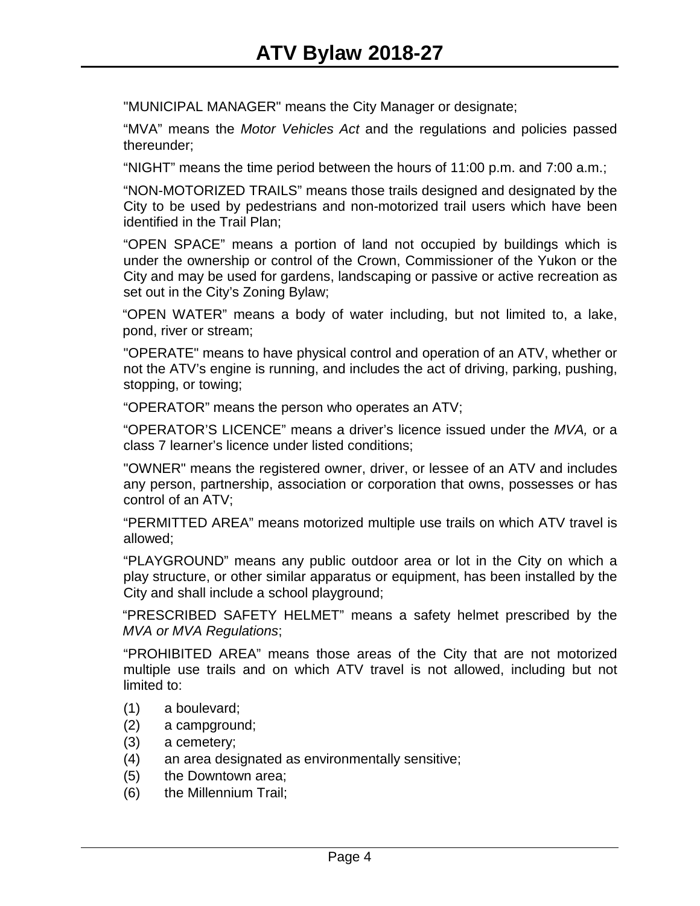"MUNICIPAL MANAGER" means the City Manager or designate;

"MVA" means the *Motor Vehicles Act* and the regulations and policies passed thereunder;

"NIGHT" means the time period between the hours of 11:00 p.m. and 7:00 a.m.;

"NON-MOTORIZED TRAILS" means those trails designed and designated by the City to be used by pedestrians and non-motorized trail users which have been identified in the Trail Plan;

"OPEN SPACE" means a portion of land not occupied by buildings which is under the ownership or control of the Crown, Commissioner of the Yukon or the City and may be used for gardens, landscaping or passive or active recreation as set out in the City's Zoning Bylaw;

"OPEN WATER" means a body of water including, but not limited to, a lake, pond, river or stream;

"OPERATE" means to have physical control and operation of an ATV, whether or not the ATV's engine is running, and includes the act of driving, parking, pushing, stopping, or towing;

"OPERATOR" means the person who operates an ATV;

"OPERATOR'S LICENCE" means a driver's licence issued under the *MVA,* or a class 7 learner's licence under listed conditions;

"OWNER" means the registered owner, driver, or lessee of an ATV and includes any person, partnership, association or corporation that owns, possesses or has control of an ATV;

"PERMITTED AREA" means motorized multiple use trails on which ATV travel is allowed;

"PLAYGROUND" means any public outdoor area or lot in the City on which a play structure, or other similar apparatus or equipment, has been installed by the City and shall include a school playground;

"PRESCRIBED SAFETY HELMET" means a safety helmet prescribed by the *MVA or MVA Regulations*;

"PROHIBITED AREA" means those areas of the City that are not motorized multiple use trails and on which ATV travel is not allowed, including but not limited to:

- (1) a boulevard;
- (2) a campground;
- (3) a cemetery;
- (4) an area designated as environmentally sensitive;
- (5) the Downtown area;
- (6) the Millennium Trail;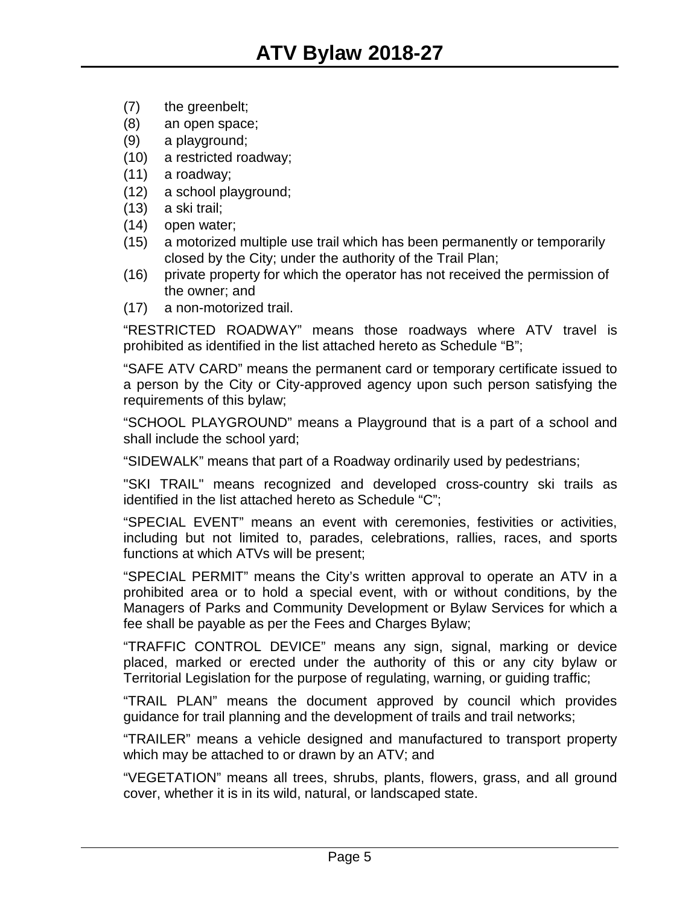- (7) the greenbelt;
- (8) an open space;
- (9) a playground;
- (10) a restricted roadway;
- (11) a roadway;
- (12) a school playground;
- (13) a ski trail;
- (14) open water;
- (15) a motorized multiple use trail which has been permanently or temporarily closed by the City; under the authority of the Trail Plan;
- (16) private property for which the operator has not received the permission of the owner; and
- (17) a non-motorized trail.

"RESTRICTED ROADWAY" means those roadways where ATV travel is prohibited as identified in the list attached hereto as Schedule "B";

"SAFE ATV CARD" means the permanent card or temporary certificate issued to a person by the City or City-approved agency upon such person satisfying the requirements of this bylaw;

"SCHOOL PLAYGROUND" means a Playground that is a part of a school and shall include the school yard;

"SIDEWALK" means that part of a Roadway ordinarily used by pedestrians;

"SKI TRAIL" means recognized and developed cross-country ski trails as identified in the list attached hereto as Schedule "C";

"SPECIAL EVENT" means an event with ceremonies, festivities or activities, including but not limited to, parades, celebrations, rallies, races, and sports functions at which ATVs will be present;

"SPECIAL PERMIT" means the City's written approval to operate an ATV in a prohibited area or to hold a special event, with or without conditions, by the Managers of Parks and Community Development or Bylaw Services for which a fee shall be payable as per the Fees and Charges Bylaw;

"TRAFFIC CONTROL DEVICE" means any sign, signal, marking or device placed, marked or erected under the authority of this or any city bylaw or Territorial Legislation for the purpose of regulating, warning, or guiding traffic;

"TRAIL PLAN" means the document approved by council which provides guidance for trail planning and the development of trails and trail networks;

"TRAILER" means a vehicle designed and manufactured to transport property which may be attached to or drawn by an ATV; and

"VEGETATION" means all trees, shrubs, plants, flowers, grass, and all ground cover, whether it is in its wild, natural, or landscaped state.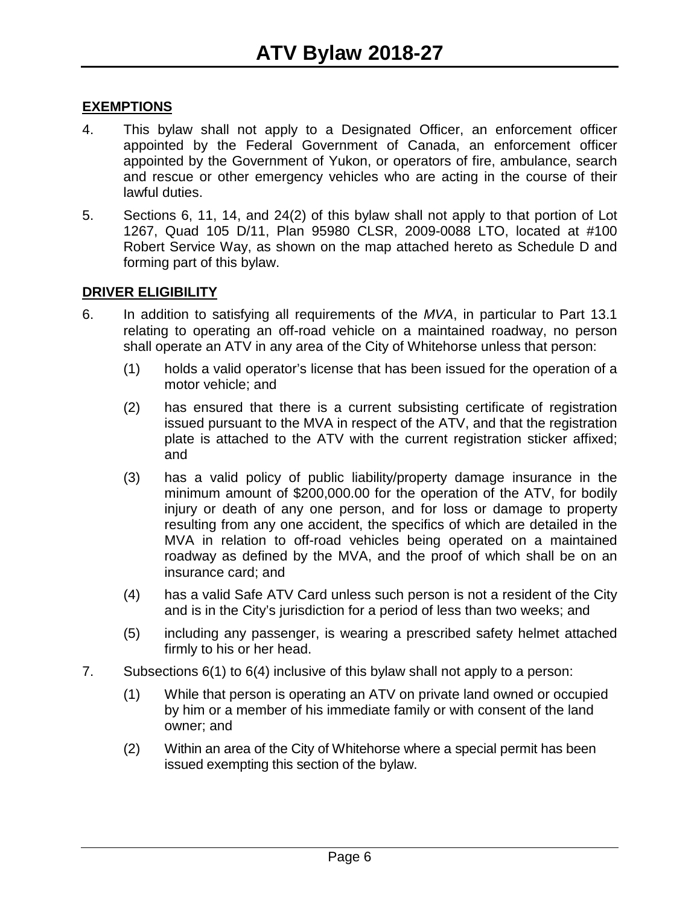#### **EXEMPTIONS**

- 4. This bylaw shall not apply to a Designated Officer, an enforcement officer appointed by the Federal Government of Canada, an enforcement officer appointed by the Government of Yukon, or operators of fire, ambulance, search and rescue or other emergency vehicles who are acting in the course of their lawful duties.
- 5. Sections 6, 11, 14, and 24(2) of this bylaw shall not apply to that portion of Lot 1267, Quad 105 D/11, Plan 95980 CLSR, 2009-0088 LTO, located at #100 Robert Service Way, as shown on the map attached hereto as Schedule D and forming part of this bylaw.

#### **DRIVER ELIGIBILITY**

- 6. In addition to satisfying all requirements of the *MVA*, in particular to Part 13.1 relating to operating an off-road vehicle on a maintained roadway, no person shall operate an ATV in any area of the City of Whitehorse unless that person:
	- (1) holds a valid operator's license that has been issued for the operation of a motor vehicle; and
	- (2) has ensured that there is a current subsisting certificate of registration issued pursuant to the MVA in respect of the ATV, and that the registration plate is attached to the ATV with the current registration sticker affixed; and
	- (3) has a valid policy of public liability/property damage insurance in the minimum amount of \$200,000.00 for the operation of the ATV, for bodily injury or death of any one person, and for loss or damage to property resulting from any one accident, the specifics of which are detailed in the MVA in relation to off-road vehicles being operated on a maintained roadway as defined by the MVA, and the proof of which shall be on an insurance card; and
	- (4) has a valid Safe ATV Card unless such person is not a resident of the City and is in the City's jurisdiction for a period of less than two weeks; and
	- (5) including any passenger, is wearing a prescribed safety helmet attached firmly to his or her head.
- 7. Subsections 6(1) to 6(4) inclusive of this bylaw shall not apply to a person:
	- (1) While that person is operating an ATV on private land owned or occupied by him or a member of his immediate family or with consent of the land owner; and
	- (2) Within an area of the City of Whitehorse where a special permit has been issued exempting this section of the bylaw.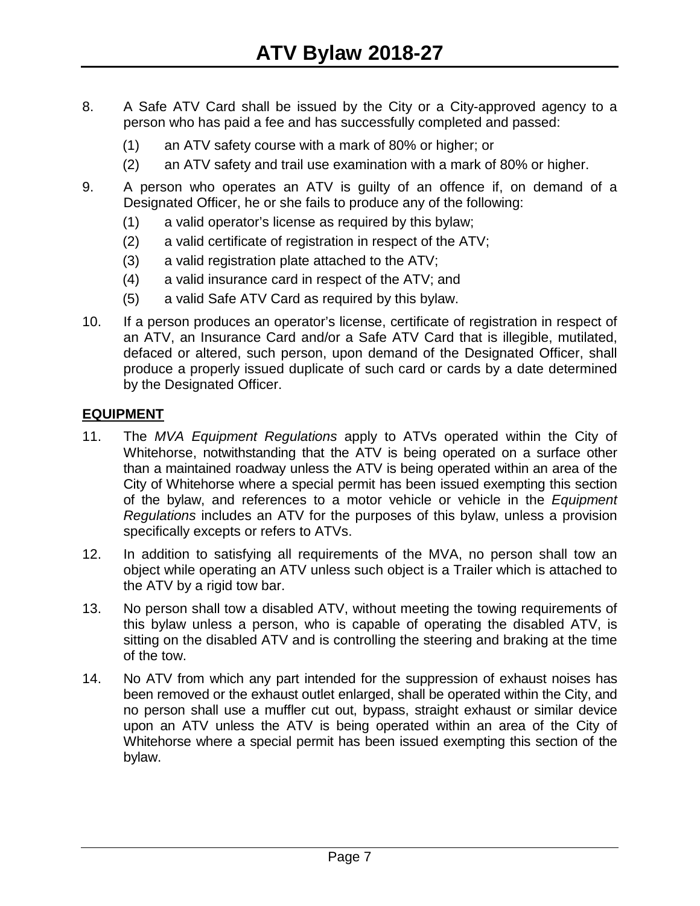- 8. A Safe ATV Card shall be issued by the City or a City-approved agency to a person who has paid a fee and has successfully completed and passed:
	- (1) an ATV safety course with a mark of 80% or higher; or
	- (2) an ATV safety and trail use examination with a mark of 80% or higher.
- 9. A person who operates an ATV is guilty of an offence if, on demand of a Designated Officer, he or she fails to produce any of the following:
	- (1) a valid operator's license as required by this bylaw;
	- (2) a valid certificate of registration in respect of the ATV;
	- (3) a valid registration plate attached to the ATV;
	- (4) a valid insurance card in respect of the ATV; and
	- (5) a valid Safe ATV Card as required by this bylaw.
- 10. If a person produces an operator's license, certificate of registration in respect of an ATV, an Insurance Card and/or a Safe ATV Card that is illegible, mutilated, defaced or altered, such person, upon demand of the Designated Officer, shall produce a properly issued duplicate of such card or cards by a date determined by the Designated Officer.

#### **EQUIPMENT**

- 11. The *MVA Equipment Regulations* apply to ATVs operated within the City of Whitehorse, notwithstanding that the ATV is being operated on a surface other than a maintained roadway unless the ATV is being operated within an area of the City of Whitehorse where a special permit has been issued exempting this section of the bylaw, and references to a motor vehicle or vehicle in the *Equipment Regulations* includes an ATV for the purposes of this bylaw, unless a provision specifically excepts or refers to ATVs.
- 12. In addition to satisfying all requirements of the MVA, no person shall tow an object while operating an ATV unless such object is a Trailer which is attached to the ATV by a rigid tow bar.
- 13. No person shall tow a disabled ATV, without meeting the towing requirements of this bylaw unless a person, who is capable of operating the disabled ATV, is sitting on the disabled ATV and is controlling the steering and braking at the time of the tow.
- 14. No ATV from which any part intended for the suppression of exhaust noises has been removed or the exhaust outlet enlarged, shall be operated within the City, and no person shall use a muffler cut out, bypass, straight exhaust or similar device upon an ATV unless the ATV is being operated within an area of the City of Whitehorse where a special permit has been issued exempting this section of the bylaw.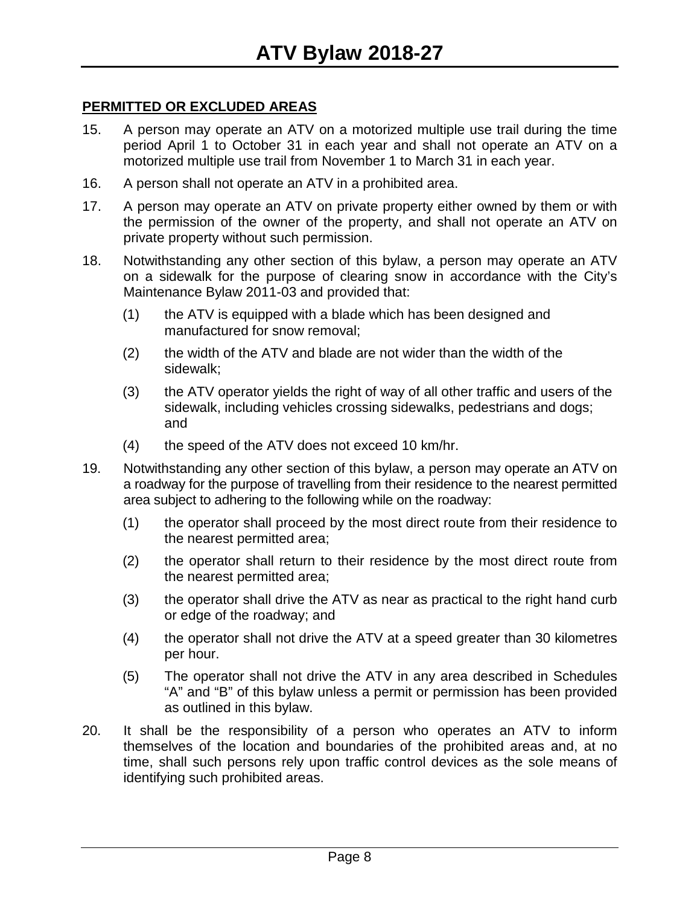#### **PERMITTED OR EXCLUDED AREAS**

- 15. A person may operate an ATV on a motorized multiple use trail during the time period April 1 to October 31 in each year and shall not operate an ATV on a motorized multiple use trail from November 1 to March 31 in each year.
- 16. A person shall not operate an ATV in a prohibited area.
- 17. A person may operate an ATV on private property either owned by them or with the permission of the owner of the property, and shall not operate an ATV on private property without such permission.
- 18. Notwithstanding any other section of this bylaw, a person may operate an ATV on a sidewalk for the purpose of clearing snow in accordance with the City's Maintenance Bylaw 2011-03 and provided that:
	- (1) the ATV is equipped with a blade which has been designed and manufactured for snow removal;
	- (2) the width of the ATV and blade are not wider than the width of the sidewalk;
	- (3) the ATV operator yields the right of way of all other traffic and users of the sidewalk, including vehicles crossing sidewalks, pedestrians and dogs; and
	- (4) the speed of the ATV does not exceed 10 km/hr.
- 19. Notwithstanding any other section of this bylaw, a person may operate an ATV on a roadway for the purpose of travelling from their residence to the nearest permitted area subject to adhering to the following while on the roadway:
	- (1) the operator shall proceed by the most direct route from their residence to the nearest permitted area;
	- (2) the operator shall return to their residence by the most direct route from the nearest permitted area;
	- (3) the operator shall drive the ATV as near as practical to the right hand curb or edge of the roadway; and
	- (4) the operator shall not drive the ATV at a speed greater than 30 kilometres per hour.
	- (5) The operator shall not drive the ATV in any area described in Schedules "A" and "B" of this bylaw unless a permit or permission has been provided as outlined in this bylaw.
- 20. It shall be the responsibility of a person who operates an ATV to inform themselves of the location and boundaries of the prohibited areas and, at no time, shall such persons rely upon traffic control devices as the sole means of identifying such prohibited areas.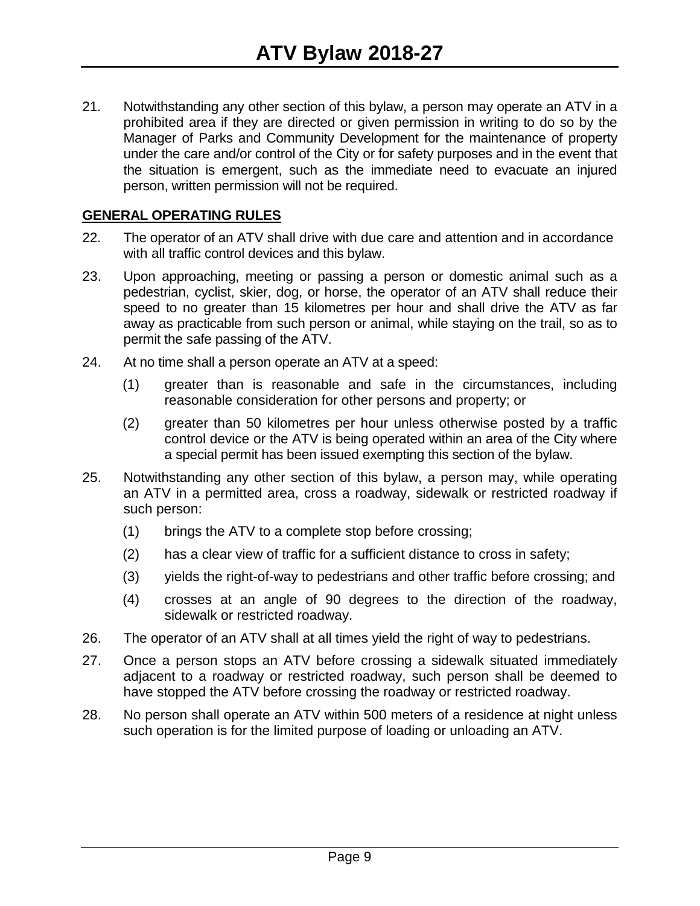21. Notwithstanding any other section of this bylaw, a person may operate an ATV in a prohibited area if they are directed or given permission in writing to do so by the Manager of Parks and Community Development for the maintenance of property under the care and/or control of the City or for safety purposes and in the event that the situation is emergent, such as the immediate need to evacuate an injured person, written permission will not be required.

#### **GENERAL OPERATING RULES**

- 22. The operator of an ATV shall drive with due care and attention and in accordance with all traffic control devices and this bylaw.
- 23. Upon approaching, meeting or passing a person or domestic animal such as a pedestrian, cyclist, skier, dog, or horse, the operator of an ATV shall reduce their speed to no greater than 15 kilometres per hour and shall drive the ATV as far away as practicable from such person or animal, while staying on the trail, so as to permit the safe passing of the ATV.
- 24. At no time shall a person operate an ATV at a speed:
	- (1) greater than is reasonable and safe in the circumstances, including reasonable consideration for other persons and property; or
	- (2) greater than 50 kilometres per hour unless otherwise posted by a traffic control device or the ATV is being operated within an area of the City where a special permit has been issued exempting this section of the bylaw.
- 25. Notwithstanding any other section of this bylaw, a person may, while operating an ATV in a permitted area, cross a roadway, sidewalk or restricted roadway if such person:
	- (1) brings the ATV to a complete stop before crossing;
	- (2) has a clear view of traffic for a sufficient distance to cross in safety;
	- (3) yields the right-of-way to pedestrians and other traffic before crossing; and
	- (4) crosses at an angle of 90 degrees to the direction of the roadway, sidewalk or restricted roadway.
- 26. The operator of an ATV shall at all times yield the right of way to pedestrians.
- 27. Once a person stops an ATV before crossing a sidewalk situated immediately adjacent to a roadway or restricted roadway, such person shall be deemed to have stopped the ATV before crossing the roadway or restricted roadway.
- 28. No person shall operate an ATV within 500 meters of a residence at night unless such operation is for the limited purpose of loading or unloading an ATV.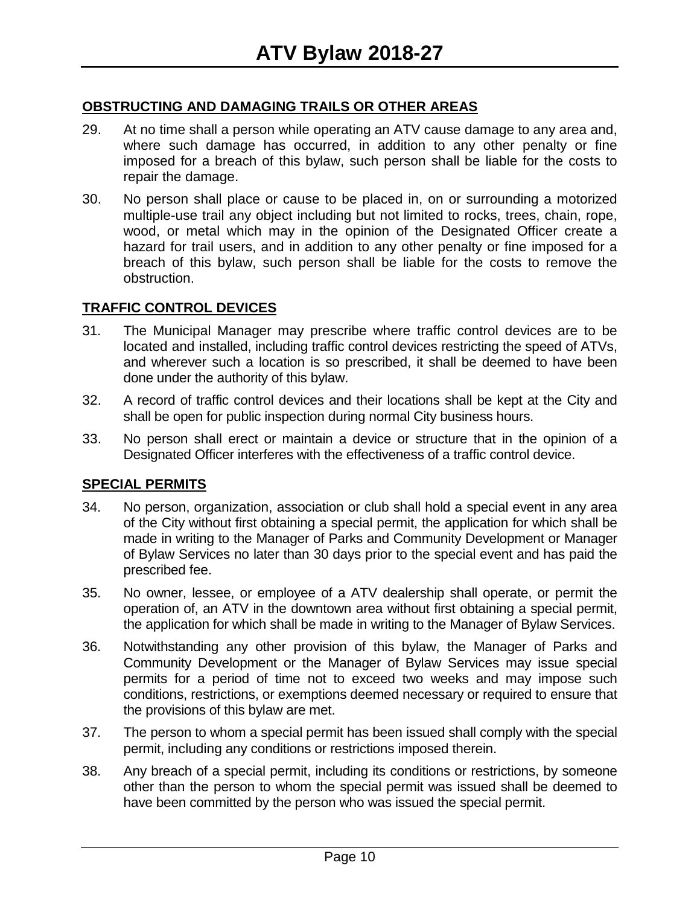#### **OBSTRUCTING AND DAMAGING TRAILS OR OTHER AREAS**

- 29. At no time shall a person while operating an ATV cause damage to any area and, where such damage has occurred, in addition to any other penalty or fine imposed for a breach of this bylaw, such person shall be liable for the costs to repair the damage.
- 30. No person shall place or cause to be placed in, on or surrounding a motorized multiple-use trail any object including but not limited to rocks, trees, chain, rope, wood, or metal which may in the opinion of the Designated Officer create a hazard for trail users, and in addition to any other penalty or fine imposed for a breach of this bylaw, such person shall be liable for the costs to remove the obstruction.

#### **TRAFFIC CONTROL DEVICES**

- 31. The Municipal Manager may prescribe where traffic control devices are to be located and installed, including traffic control devices restricting the speed of ATVs, and wherever such a location is so prescribed, it shall be deemed to have been done under the authority of this bylaw.
- 32. A record of traffic control devices and their locations shall be kept at the City and shall be open for public inspection during normal City business hours.
- 33. No person shall erect or maintain a device or structure that in the opinion of a Designated Officer interferes with the effectiveness of a traffic control device.

#### **SPECIAL PERMITS**

- 34. No person, organization, association or club shall hold a special event in any area of the City without first obtaining a special permit, the application for which shall be made in writing to the Manager of Parks and Community Development or Manager of Bylaw Services no later than 30 days prior to the special event and has paid the prescribed fee.
- 35. No owner, lessee, or employee of a ATV dealership shall operate, or permit the operation of, an ATV in the downtown area without first obtaining a special permit, the application for which shall be made in writing to the Manager of Bylaw Services.
- 36. Notwithstanding any other provision of this bylaw, the Manager of Parks and Community Development or the Manager of Bylaw Services may issue special permits for a period of time not to exceed two weeks and may impose such conditions, restrictions, or exemptions deemed necessary or required to ensure that the provisions of this bylaw are met.
- 37. The person to whom a special permit has been issued shall comply with the special permit, including any conditions or restrictions imposed therein.
- 38. Any breach of a special permit, including its conditions or restrictions, by someone other than the person to whom the special permit was issued shall be deemed to have been committed by the person who was issued the special permit.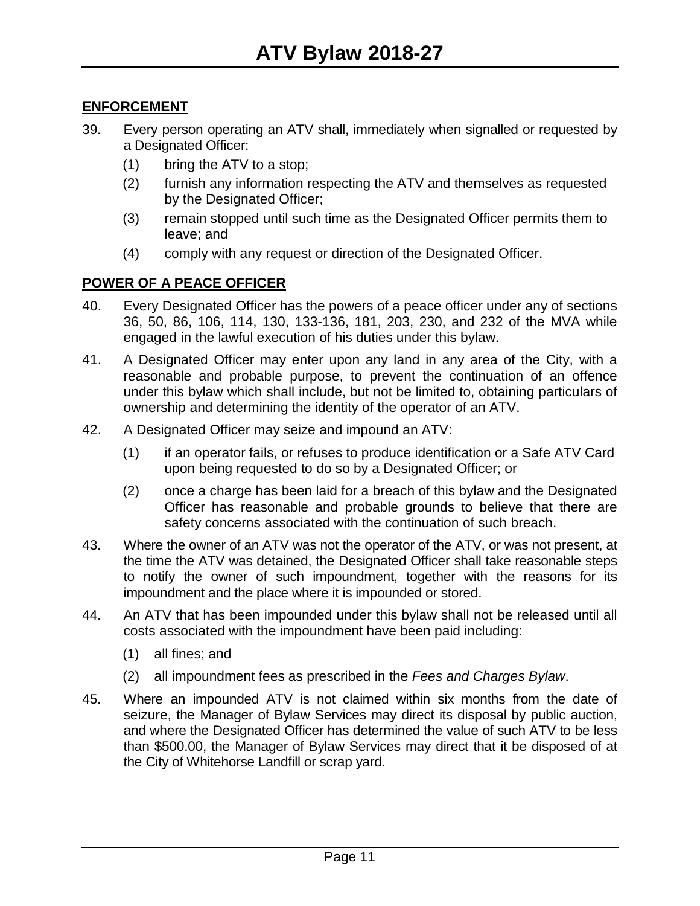#### **ENFORCEMENT**

- 39. Every person operating an ATV shall, immediately when signalled or requested by a Designated Officer:
	- (1) bring the ATV to a stop;
	- (2) furnish any information respecting the ATV and themselves as requested by the Designated Officer;
	- (3) remain stopped until such time as the Designated Officer permits them to leave; and
	- (4) comply with any request or direction of the Designated Officer.

#### **POWER OF A PEACE OFFICER**

- 40. Every Designated Officer has the powers of a peace officer under any of sections 36, 50, 86, 106, 114, 130, 133-136, 181, 203, 230, and 232 of the MVA while engaged in the lawful execution of his duties under this bylaw.
- 41. A Designated Officer may enter upon any land in any area of the City, with a reasonable and probable purpose, to prevent the continuation of an offence under this bylaw which shall include, but not be limited to, obtaining particulars of ownership and determining the identity of the operator of an ATV.
- 42. A Designated Officer may seize and impound an ATV:
	- (1) if an operator fails, or refuses to produce identification or a Safe ATV Card upon being requested to do so by a Designated Officer; or
	- (2) once a charge has been laid for a breach of this bylaw and the Designated Officer has reasonable and probable grounds to believe that there are safety concerns associated with the continuation of such breach.
- 43. Where the owner of an ATV was not the operator of the ATV, or was not present, at the time the ATV was detained, the Designated Officer shall take reasonable steps to notify the owner of such impoundment, together with the reasons for its impoundment and the place where it is impounded or stored.
- 44. An ATV that has been impounded under this bylaw shall not be released until all costs associated with the impoundment have been paid including:
	- (1) all fines; and
	- (2) all impoundment fees as prescribed in the *Fees and Charges Bylaw*.
- 45. Where an impounded ATV is not claimed within six months from the date of seizure, the Manager of Bylaw Services may direct its disposal by public auction, and where the Designated Officer has determined the value of such ATV to be less than \$500.00, the Manager of Bylaw Services may direct that it be disposed of at the City of Whitehorse Landfill or scrap yard.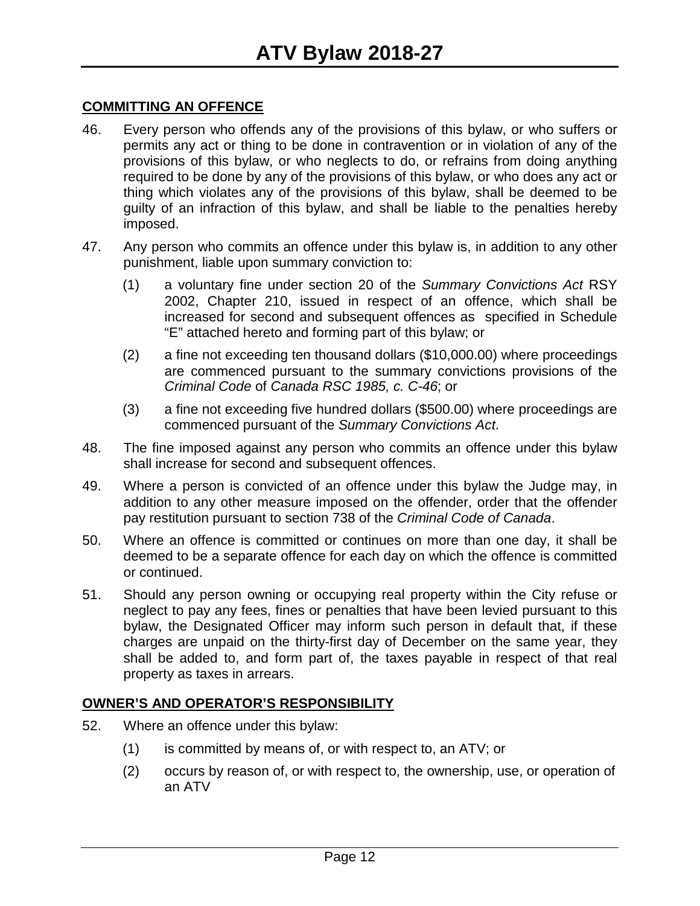#### **COMMITTING AN OFFENCE**

- 46. Every person who offends any of the provisions of this bylaw, or who suffers or permits any act or thing to be done in contravention or in violation of any of the provisions of this bylaw, or who neglects to do, or refrains from doing anything required to be done by any of the provisions of this bylaw, or who does any act or thing which violates any of the provisions of this bylaw, shall be deemed to be guilty of an infraction of this bylaw, and shall be liable to the penalties hereby imposed.
- 47. Any person who commits an offence under this bylaw is, in addition to any other punishment, liable upon summary conviction to:
	- (1) a voluntary fine under section 20 of the *Summary Convictions Act* RSY 2002, Chapter 210, issued in respect of an offence, which shall be increased for second and subsequent offences as specified in Schedule "E" attached hereto and forming part of this bylaw; or
	- (2) a fine not exceeding ten thousand dollars (\$10,000.00) where proceedings are commenced pursuant to the summary convictions provisions of the *Criminal Code* of *Canada RSC 1985, c. C-46*; or
	- (3) a fine not exceeding five hundred dollars (\$500.00) where proceedings are commenced pursuant of the *Summary Convictions Act*.
- 48. The fine imposed against any person who commits an offence under this bylaw shall increase for second and subsequent offences.
- 49. Where a person is convicted of an offence under this bylaw the Judge may, in addition to any other measure imposed on the offender, order that the offender pay restitution pursuant to section 738 of the *Criminal Code of Canada*.
- 50. Where an offence is committed or continues on more than one day, it shall be deemed to be a separate offence for each day on which the offence is committed or continued.
- 51. Should any person owning or occupying real property within the City refuse or neglect to pay any fees, fines or penalties that have been levied pursuant to this bylaw, the Designated Officer may inform such person in default that, if these charges are unpaid on the thirty-first day of December on the same year, they shall be added to, and form part of, the taxes payable in respect of that real property as taxes in arrears.

#### **OWNER'S AND OPERATOR'S RESPONSIBILITY**

- 52. Where an offence under this bylaw:
	- (1) is committed by means of, or with respect to, an ATV; or
	- (2) occurs by reason of, or with respect to, the ownership, use, or operation of an ATV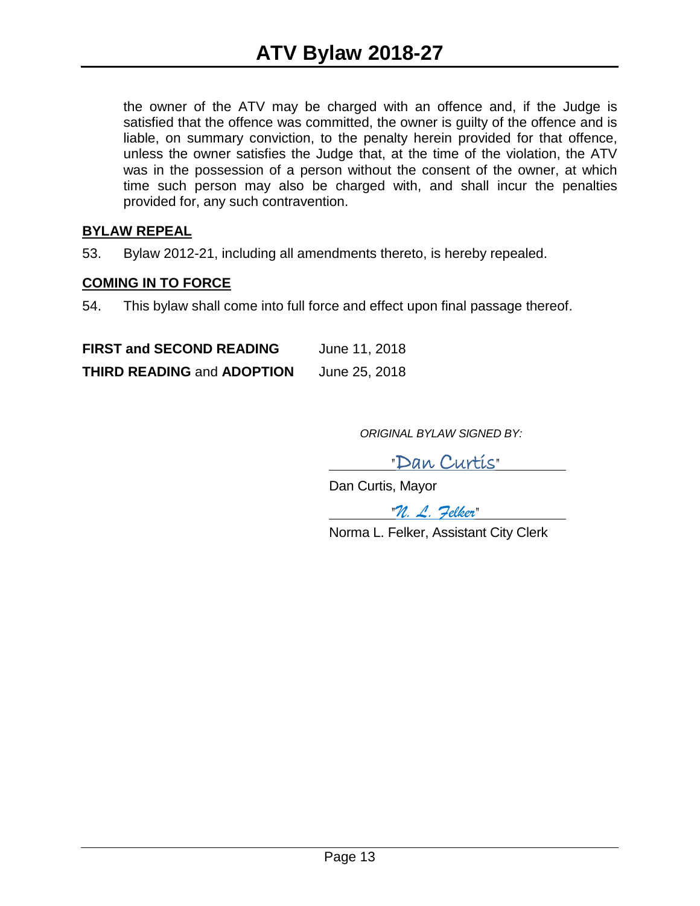the owner of the ATV may be charged with an offence and, if the Judge is satisfied that the offence was committed, the owner is guilty of the offence and is liable, on summary conviction, to the penalty herein provided for that offence, unless the owner satisfies the Judge that, at the time of the violation, the ATV was in the possession of a person without the consent of the owner, at which time such person may also be charged with, and shall incur the penalties provided for, any such contravention.

#### **BYLAW REPEAL**

53. Bylaw 2012-21, including all amendments thereto, is hereby repealed.

#### **COMING IN TO FORCE**

54. This bylaw shall come into full force and effect upon final passage thereof.

**FIRST and SECOND READING** June 11, 2018 **THIRD READING** and **ADOPTION** June 25, 2018

*ORIGINAL BYLAW SIGNED BY:*

"Dan Curtis"

Dan Curtis, Mayor

"*N. L. Felker*"

Norma L. Felker, Assistant City Clerk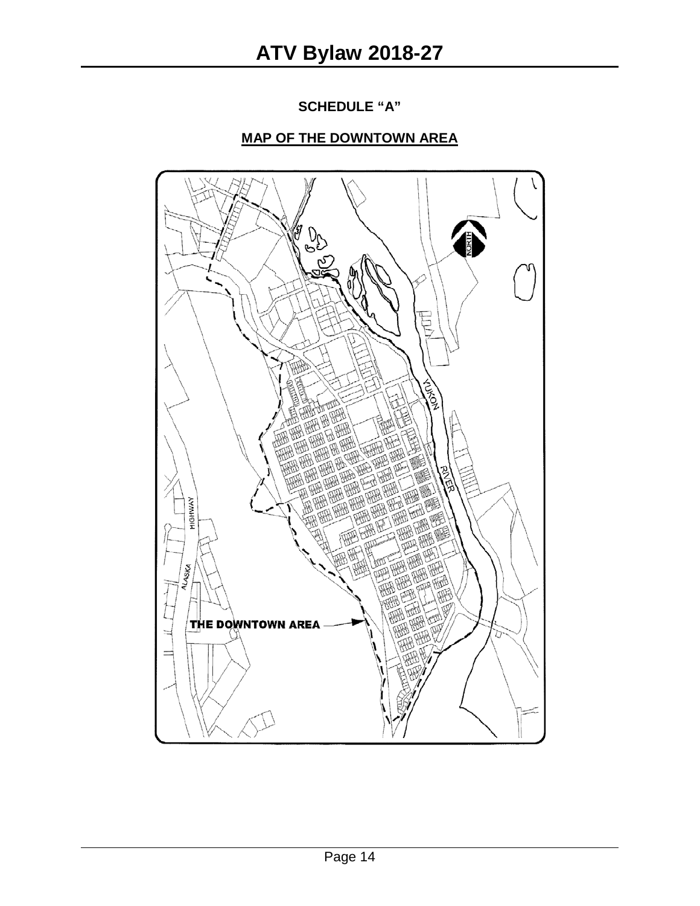**SCHEDULE "A"**

### **MAP OF THE DOWNTOWN AREA**

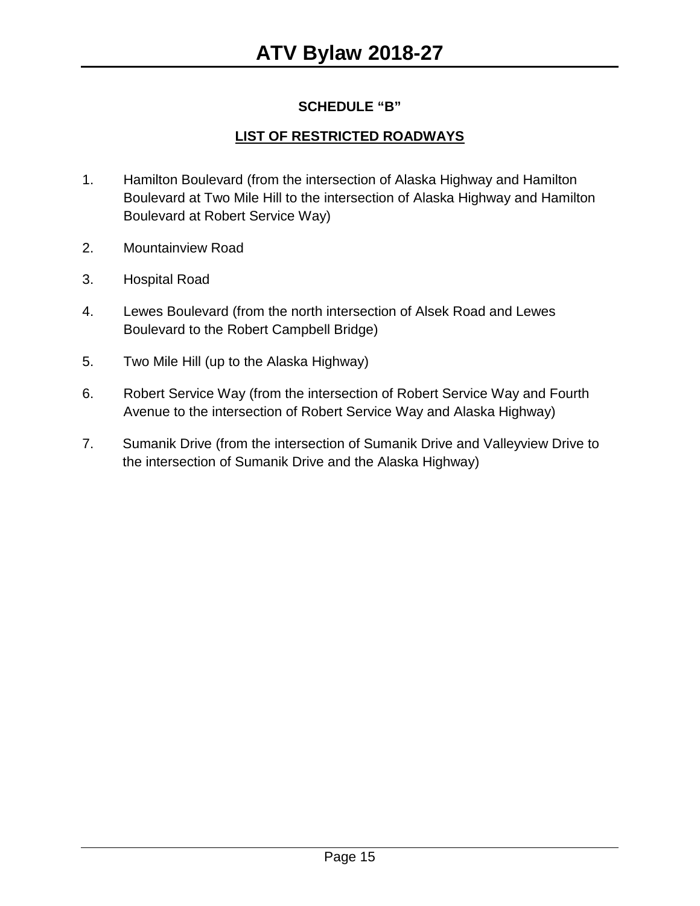#### **SCHEDULE "B"**

#### **LIST OF RESTRICTED ROADWAYS**

- 1. Hamilton Boulevard (from the intersection of Alaska Highway and Hamilton Boulevard at Two Mile Hill to the intersection of Alaska Highway and Hamilton Boulevard at Robert Service Way)
- 2. Mountainview Road
- 3. Hospital Road
- 4. Lewes Boulevard (from the north intersection of Alsek Road and Lewes Boulevard to the Robert Campbell Bridge)
- 5. Two Mile Hill (up to the Alaska Highway)
- 6. Robert Service Way (from the intersection of Robert Service Way and Fourth Avenue to the intersection of Robert Service Way and Alaska Highway)
- 7. Sumanik Drive (from the intersection of Sumanik Drive and Valleyview Drive to the intersection of Sumanik Drive and the Alaska Highway)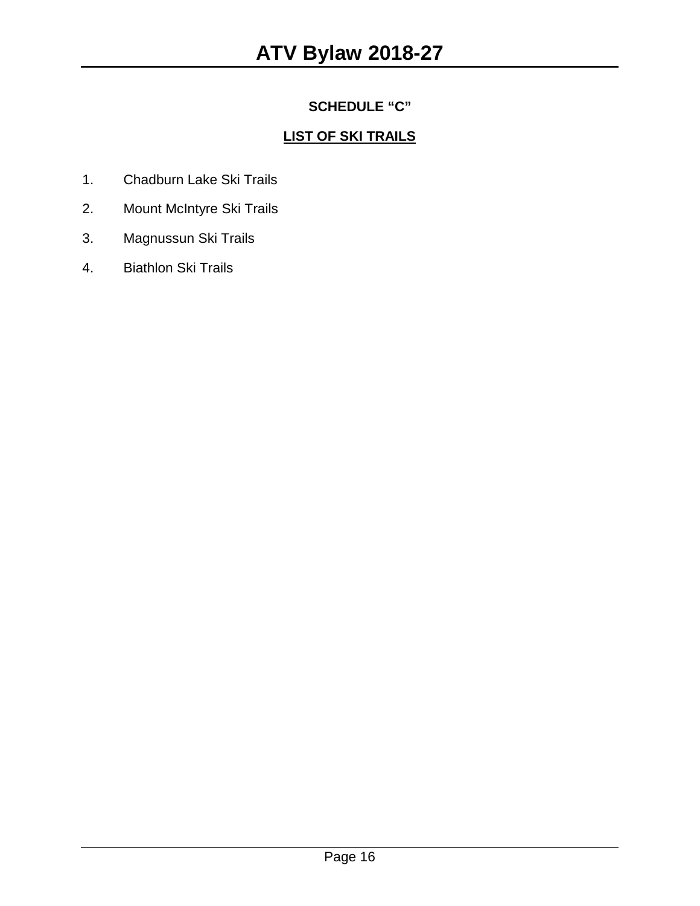### **SCHEDULE "C"**

### **LIST OF SKI TRAILS**

- 1. Chadburn Lake Ski Trails
- 2. Mount McIntyre Ski Trails
- 3. Magnussun Ski Trails
- 4. Biathlon Ski Trails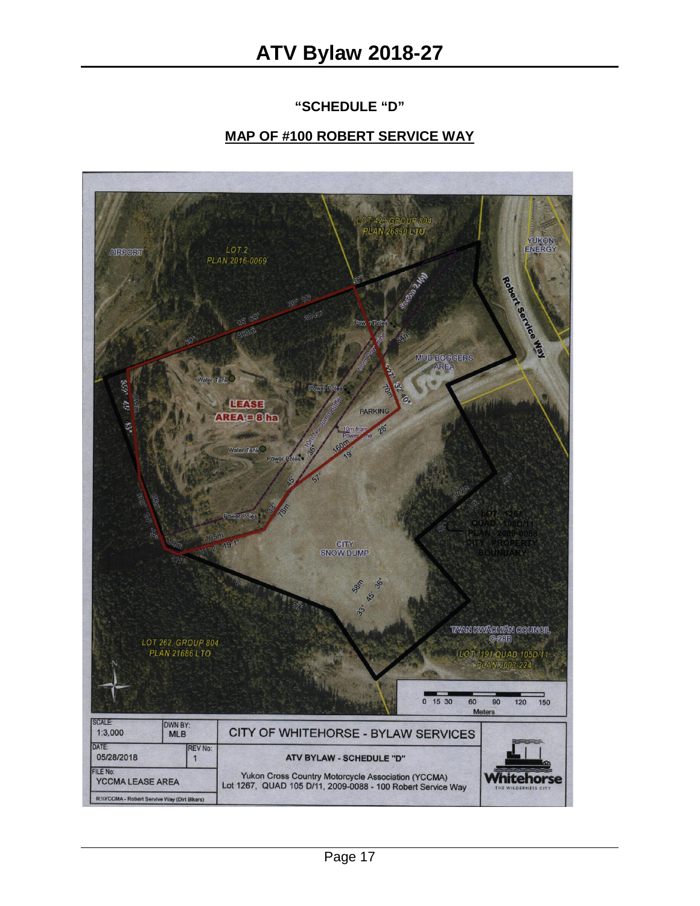#### **"SCHEDULE "D"**

#### **MAP OF #100 ROBERT SERVICE WAY**

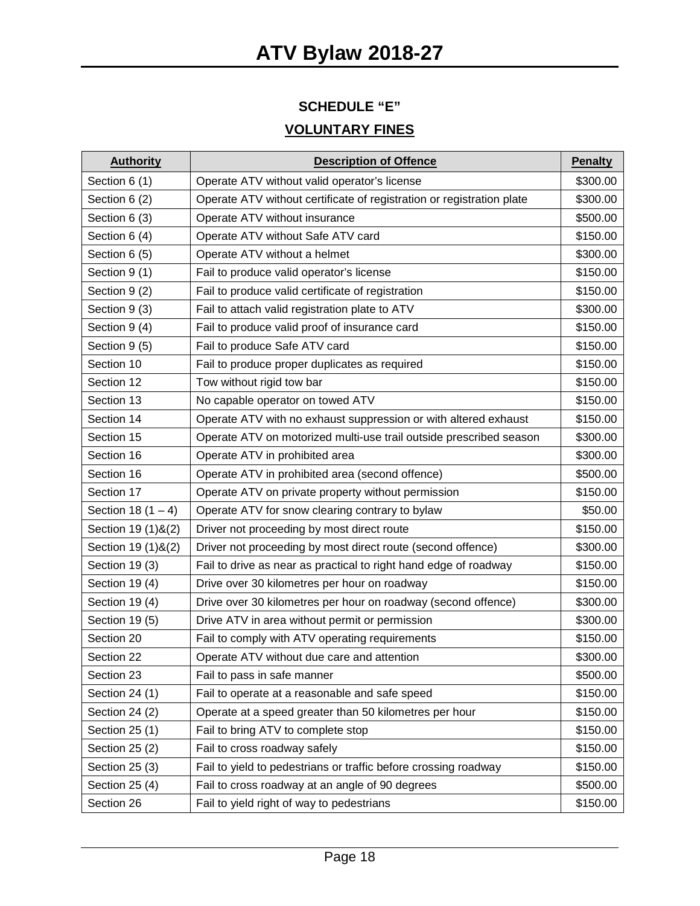## **SCHEDULE "E"**

### **VOLUNTARY FINES**

| <b>Authority</b>     | <b>Description of Offence</b>                                         | <b>Penalty</b> |
|----------------------|-----------------------------------------------------------------------|----------------|
| Section 6 (1)        | Operate ATV without valid operator's license                          | \$300.00       |
| Section 6 (2)        | Operate ATV without certificate of registration or registration plate | \$300.00       |
| Section 6 (3)        | Operate ATV without insurance                                         | \$500.00       |
| Section 6 (4)        | Operate ATV without Safe ATV card                                     | \$150.00       |
| Section 6 (5)        | Operate ATV without a helmet                                          | \$300.00       |
| Section 9 (1)        | Fail to produce valid operator's license                              | \$150.00       |
| Section 9 (2)        | Fail to produce valid certificate of registration                     | \$150.00       |
| Section 9 (3)        | Fail to attach valid registration plate to ATV                        | \$300.00       |
| Section 9 (4)        | Fail to produce valid proof of insurance card                         | \$150.00       |
| Section 9 (5)        | Fail to produce Safe ATV card                                         | \$150.00       |
| Section 10           | Fail to produce proper duplicates as required                         | \$150.00       |
| Section 12           | Tow without rigid tow bar                                             | \$150.00       |
| Section 13           | No capable operator on towed ATV                                      | \$150.00       |
| Section 14           | Operate ATV with no exhaust suppression or with altered exhaust       | \$150.00       |
| Section 15           | Operate ATV on motorized multi-use trail outside prescribed season    | \$300.00       |
| Section 16           | Operate ATV in prohibited area                                        | \$300.00       |
| Section 16           | Operate ATV in prohibited area (second offence)                       | \$500.00       |
| Section 17           | Operate ATV on private property without permission                    | \$150.00       |
| Section 18 $(1 - 4)$ | Operate ATV for snow clearing contrary to bylaw                       | \$50.00        |
| Section 19 (1) & (2) | Driver not proceeding by most direct route                            | \$150.00       |
| Section 19 (1) & (2) | Driver not proceeding by most direct route (second offence)           | \$300.00       |
| Section 19 (3)       | Fail to drive as near as practical to right hand edge of roadway      | \$150.00       |
| Section 19 (4)       | Drive over 30 kilometres per hour on roadway                          | \$150.00       |
| Section 19 (4)       | Drive over 30 kilometres per hour on roadway (second offence)         | \$300.00       |
| Section 19 (5)       | Drive ATV in area without permit or permission                        | \$300.00       |
| Section 20           | Fail to comply with ATV operating requirements                        | \$150.00       |
| Section 22           | Operate ATV without due care and attention                            | \$300.00       |
| Section 23           | Fail to pass in safe manner                                           | \$500.00       |
| Section 24 (1)       | Fail to operate at a reasonable and safe speed                        | \$150.00       |
| Section 24 (2)       | Operate at a speed greater than 50 kilometres per hour                | \$150.00       |
| Section 25 (1)       | Fail to bring ATV to complete stop                                    | \$150.00       |
| Section 25 (2)       | Fail to cross roadway safely                                          | \$150.00       |
| Section 25 (3)       | Fail to yield to pedestrians or traffic before crossing roadway       | \$150.00       |
| Section 25 (4)       | Fail to cross roadway at an angle of 90 degrees                       | \$500.00       |
| Section 26           | Fail to yield right of way to pedestrians                             | \$150.00       |